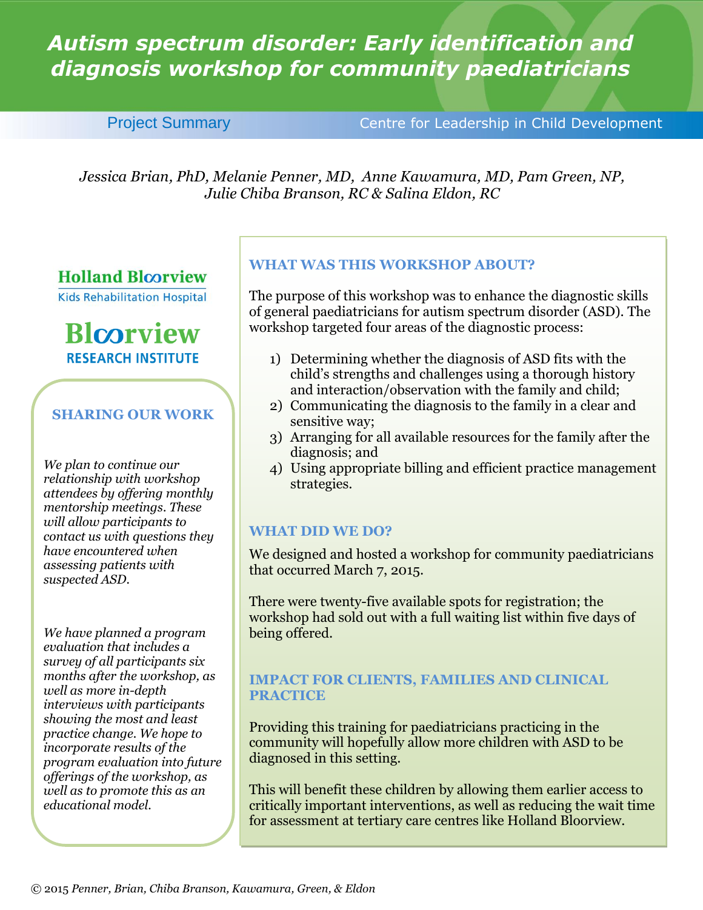# *Autism spectrum disorder: Early identification and diagnosis workshop for community paediatricians*

Project Summary **Centre for Leadership in Child Development** 

*Jessica Brian, PhD, Melanie Penner, MD, Anne Kawamura, MD, Pam Green, NP, Julie Chiba Branson, RC & Salina Eldon, RC*

## **Holland Bloorview**

**Kids Rehabilitation Hospital** 

# **Blcorview RESEARCH INSTITUTE**

## **SHARING OUR WORK**

*We plan to continue our relationship with workshop attendees by offering monthly mentorship meetings. These will allow participants to contact us with questions they have encountered when assessing patients with suspected ASD.*

*We have planned a program evaluation that includes a survey of all participants six months after the workshop, as well as more in-depth interviews with participants showing the most and least practice change. We hope to incorporate results of the program evaluation into future offerings of the workshop, as well as to promote this as an educational model.*

### **WHAT WAS THIS WORKSHOP ABOUT?**

The purpose of this workshop was to enhance the diagnostic skills of general paediatricians for autism spectrum disorder (ASD). The workshop targeted four areas of the diagnostic process:

- 1) Determining whether the diagnosis of ASD fits with the child's strengths and challenges using a thorough history and interaction/observation with the family and child;
- 2) Communicating the diagnosis to the family in a clear and sensitive way;
- 3) Arranging for all available resources for the family after the diagnosis; and
- 4) Using appropriate billing and efficient practice management strategies.

### **WHAT DID WE DO?**

We designed and hosted a workshop for community paediatricians that occurred March 7, 2015.

There were twenty-five available spots for registration; the workshop had sold out with a full waiting list within five days of being offered.

#### **IMPACT FOR CLIENTS, FAMILIES AND CLINICAL PRACTICE**

Providing this training for paediatricians practicing in the community will hopefully allow more children with ASD to be diagnosed in this setting.

This will benefit these children by allowing them earlier access to critically important interventions, as well as reducing the wait time for assessment at tertiary care centres like Holland Bloorview.